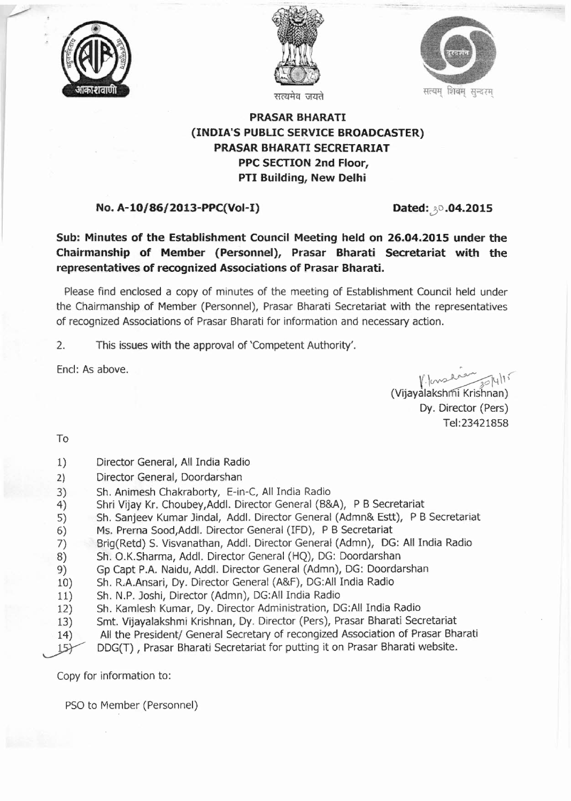





## **PRASAR BHARATI (INDIA'S PUBUC SERVICE BROADCASTER) PRASAR BHARATI SECRETARIAT PPC SECTION 2nd Floor, PTI Building, New Delhi**

## **No. A-10/86/2013-PPC(Vol-I) Dated:... 2015**

**Sub: Minutes of the Establishment Council Meeting held on 26.04.2015 under the Chairmanship of Member (Personnel), Prasar Bharati Secretariat with the representatives of recognized Associations of Prasar Bharati.**

Please find enclosed a copy of minutes of the meeting of Establishment Council held under the Chairmanship of Member (Personnel), Prasar Bharati Secretariat with the representatives of recognized Associations of Prasar Bharati for information and necessary action.

2. This issues with the approval of 'Competent Authority'.

End: As above.

 $V.\downarrow\sim\sim$ 

(Vijayalakshmi Krishnan) Dy. Director (Pers) Tel:23421858

To

~

- 1) Director General, All India Radio
- 2) Director General, Doordarshan
- 3) Sh. Animesh Chakraborty, E-in-C, All India Radio
- 4) Shri Vijay Kr. Choubey,Addl. Director General (B&A), P B Secretariat
- 5) Sh. Sanjeev Kumar Jindal, Addl. Director General (Admn& Estt), P B Secretariat
- 6) Ms. Prerna Sood,Addl. Director General (IFD), P B Secretariat
- 7) Brig(Retd) S. Visvanathan, Addl. Director General (Admn), DG: All India Radio
- 8) Sh. O.K.sharma, Add!. Director General (HQ), DG: Doordarshan
- 9) Gp Capt P.A. Naidu, Addl. Director General (Admn), DG: Doordarshan
- 10) Sh. R.A.Ansari, Dy. Director General (A&F), DG:AII India Radio
- 11) Sh. N.P. Joshi, Director (Admn), DG:AII India Radio
- 12) Sh. Kamlesh Kumar, Dy. Director Administration, DG:AII India Radio
- 13) Smt. Vijayalakshmi Krishnan, Dy. Director (Pers), Prasar Bharati Secretariat
- 14) All the President/ General Secretary of recongized Association of Prasar Bharati
- DDG(T) , Prasar Bharati Secretariat for putting it on Prasar Bharati website.  $15$

Copy for information to:

PSO to Member (Personnel)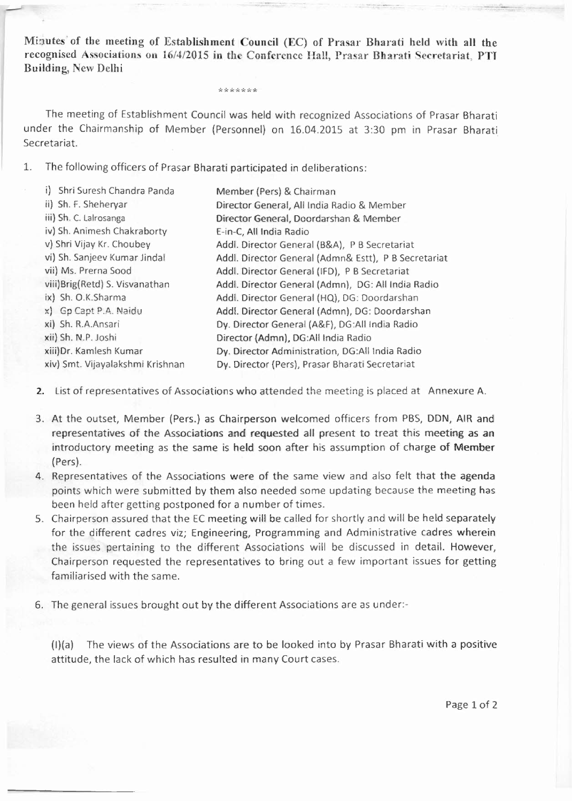Minutes of the meeting of Establishment Council (EC) of Prasar Bharati held with all the recognised Associations on 16/4/2015 in the Conference Hall, Prasar Bharati Secretariat, PTI Building, New Delhi

\*\*\*\*\*\*

The meeting of Establishment Council was held with recognized Associations of Prasar Bharati under the Chairmanship of Member (Personnel) on 16.04.2015 at 3:30 pm in Prasar Bharati Secretariat.

1. The following officers of Prasar Bharati participated in deliberations:

| i) Shri Suresh Chandra Panda     | Member (Pers) & Chairman                             |
|----------------------------------|------------------------------------------------------|
| ii) Sh. F. Sheheryar             | Director General, All India Radio & Member           |
| iii) Sh. C. Lalrosanga           | Director General, Doordarshan & Member               |
| iv) Sh. Animesh Chakraborty      | E-in-C, All India Radio                              |
| v) Shri Vijay Kr. Choubey        | Addl. Director General (B&A), P B Secretariat        |
| vi) Sh. Sanjeev Kumar Jindal     | Addl. Director General (Admn& Estt), P B Secretariat |
| vii) Ms. Prerna Sood             | Addl. Director General (IFD), P B Secretariat        |
| viii) Brig (Retd) S. Visvanathan | Addl. Director General (Admn), DG: All India Radio   |
| ix) Sh. O.K.Sharma               | Addl. Director General (HQ), DG: Doordarshan         |
| x) Gp Capt P.A. Naidu            | Addl. Director General (Admn), DG: Doordarshan       |
| xi) Sh. R.A.Ansari               | Dy. Director General (A&F), DG:All India Radio       |
| xii) Sh. N.P. Joshi              | Director (Admn), DG:All India Radio                  |
| xiii) Dr. Kamlesh Kumar          | Dy. Director Administration, DG:All India Radio      |
| xiv) Smt. Vijayalakshmi Krishnan | Dy. Director (Pers), Prasar Bharati Secretariat      |
|                                  |                                                      |

- 2. List of representatives of Associations who attended the meeting is placed at Annexure A.
- 3. At the outset, Member (Pers.) as Chairperson welcomed officers from PBS, DDN, AIR and representatives of the Associations and requested all present to treat this meeting as an introductory meeting as the same is held soon after his assumption of charge of Member (Pers).
- 4. Representatives of the Associations were of the same view and also felt that the agenda points which were submitted by them also needed some updating because the meeting has been held after getting postponed for a number of times.
- 5. Chairperson assured that the EC meeting will be called for shortly and will be held separately for the different cadres viz; Engineering, Programming and Administrative cadres wherein the issues pertaining to the different Associations will be discussed in detail. However, Chairperson requested the representatives to bring out a few important issues for getting familiarised with the same.
- 6. The general issues brought out by the different Associations are as under:-

 $(I)(a)$  The views of the Associations are to be looked into by Prasar Bharati with a positive attitude, the lack of which has resulted in many Court cases.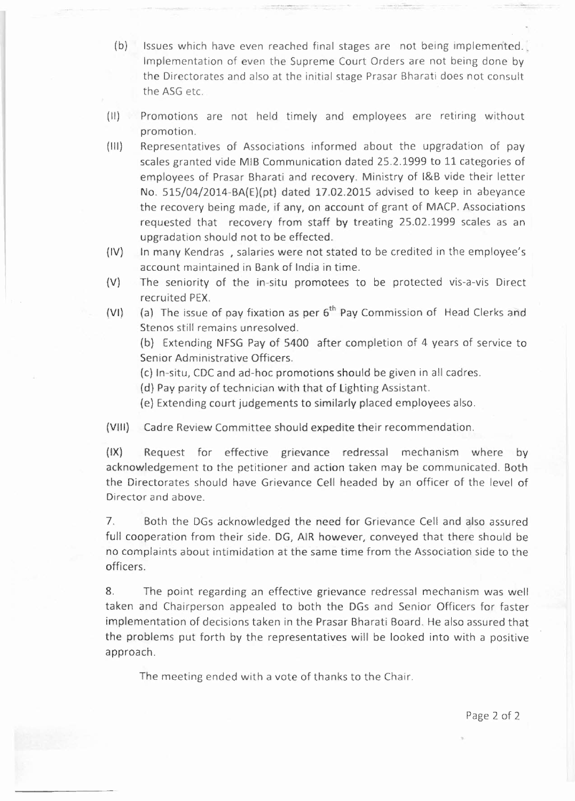- (b) Issues which have even reached final stages are not being implemented. Implementation of even the Supreme Court Orders are not being done by the Directorates and also at the initial stage Prasar Bharati does not consult the ASG etc.
- (II) Promotions are not held timely and employees are retiring without promotion.
- (III) Representatives of Associations informed about the upgradation of pay scales granted vide MIB Communication dated 25.2.1999 to 11 categories of employees of Prasar Bharati and recovery. Ministry of I&B vide their letter No. 515/04/2014-BA(E)(pt) dated 17.02.2015 advised to keep in abeyance the recovery being made, if any, on account of grant of MACP. Associations requested that recovery from staff by treating 25.02.1999 scales as an upgradation should not to be effected.
- (IV) In many Kendras ,salaries were not stated to be credited in the employee's account maintained in Bank of India in time.
- (V) The seniority of the in-situ promotees to be protected vis-a-vis Direct recruited PEX.
- (VI) (a) The issue of pay fixation as per  $6<sup>th</sup>$  Pay Commission of Head Clerks and Stenos still remains unresolved.

(b) Extending NFSG Pay of 5400 after completion of 4 years of service to Senior Administrative Officers.

(c) In-situ, CDC and ad-hoc promotions should be given in all cadres.

(d) Pay parity of technician with that of lighting Assistant.

(e) Extending court judgements to similarly placed employees also.

(VIII) Cadre Review Committee should expedite their recommendation.

(IX) Request for effective grievance redressal mechanism where by acknowledgement to the petitioner and action taken may be communicated. Both the Directorates should have Grievance Cell headed by an officer of the level of Director and above.

7. Both the DGs acknowledged the need for Grievance Cell and also assured full cooperation from their side. DG, AIR however, conveyed that there should be no complaints about intimidation at the same time from the Association side to the officers.

8. The point regarding an effective grievance redressal mechanism was well taken and Chairperson appealed to both the DGs and Senior Officers for faster implementation of decisions taken in the Prasar Bharati Board. He also assured that the problems put forth by the representatives will be looked into with a positive approach.

The meeting ended with a vote of thanks to the Chair.